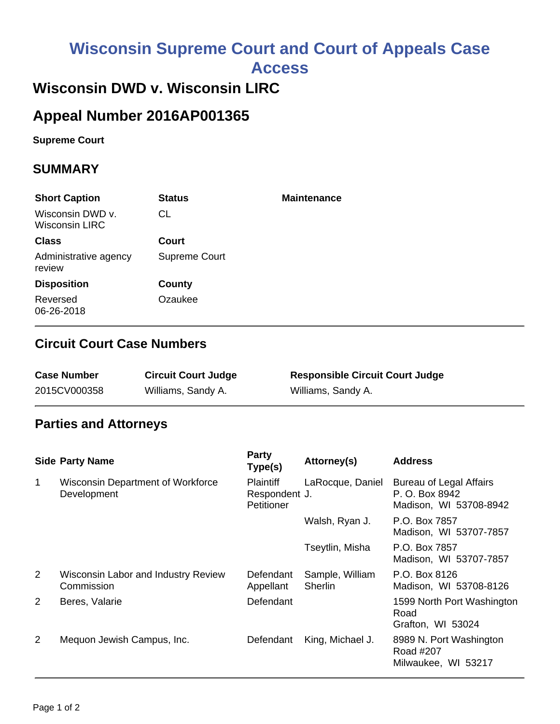# **Wisconsin Supreme Court and Court of Appeals Case**

**Access**

# **Wisconsin DWD v. Wisconsin LIRC**

# **Appeal Number 2016AP001365**

**Supreme Court** 

#### **SUMMARY**

| <b>Short Caption</b>                      | <b>Status</b> | <b>Maintenance</b> |
|-------------------------------------------|---------------|--------------------|
| Wisconsin DWD v.<br><b>Wisconsin LIRC</b> | CL            |                    |
| <b>Class</b>                              | Court         |                    |
| Administrative agency<br>review           | Supreme Court |                    |
| <b>Disposition</b>                        | County        |                    |
| Reversed<br>06-26-2018                    | Ozaukee       |                    |

#### **Circuit Court Case Numbers**

| <b>Case Number</b> | <b>Circuit Court Judge</b> | <b>Responsible Circuit Court Judge</b> |
|--------------------|----------------------------|----------------------------------------|
| 2015CV000358       | Williams, Sandy A.         | Williams, Sandy A.                     |

## **Parties and Attorneys**

|                | <b>Side Party Name</b>                                  | <b>Party</b><br>Type(s)                         | Attorney(s)                | <b>Address</b>                                                             |
|----------------|---------------------------------------------------------|-------------------------------------------------|----------------------------|----------------------------------------------------------------------------|
| $\mathbf{1}$   | <b>Wisconsin Department of Workforce</b><br>Development | <b>Plaintiff</b><br>Respondent J.<br>Petitioner | LaRocque, Daniel           | <b>Bureau of Legal Affairs</b><br>P. O. Box 8942<br>Madison, WI 53708-8942 |
|                |                                                         |                                                 | Walsh, Ryan J.             | P.O. Box 7857<br>Madison, WI 53707-7857                                    |
|                |                                                         |                                                 | Tseytlin, Misha            | P.O. Box 7857<br>Madison, WI 53707-7857                                    |
| $\overline{2}$ | Wisconsin Labor and Industry Review<br>Commission       | Defendant<br>Appellant                          | Sample, William<br>Sherlin | P.O. Box 8126<br>Madison, WI 53708-8126                                    |
| $\overline{2}$ | Beres, Valarie                                          | Defendant                                       |                            | 1599 North Port Washington<br>Road<br>Grafton, WI 53024                    |
| $\overline{2}$ | Mequon Jewish Campus, Inc.                              | Defendant                                       | King, Michael J.           | 8989 N. Port Washington<br>Road #207<br>Milwaukee, WI 53217                |